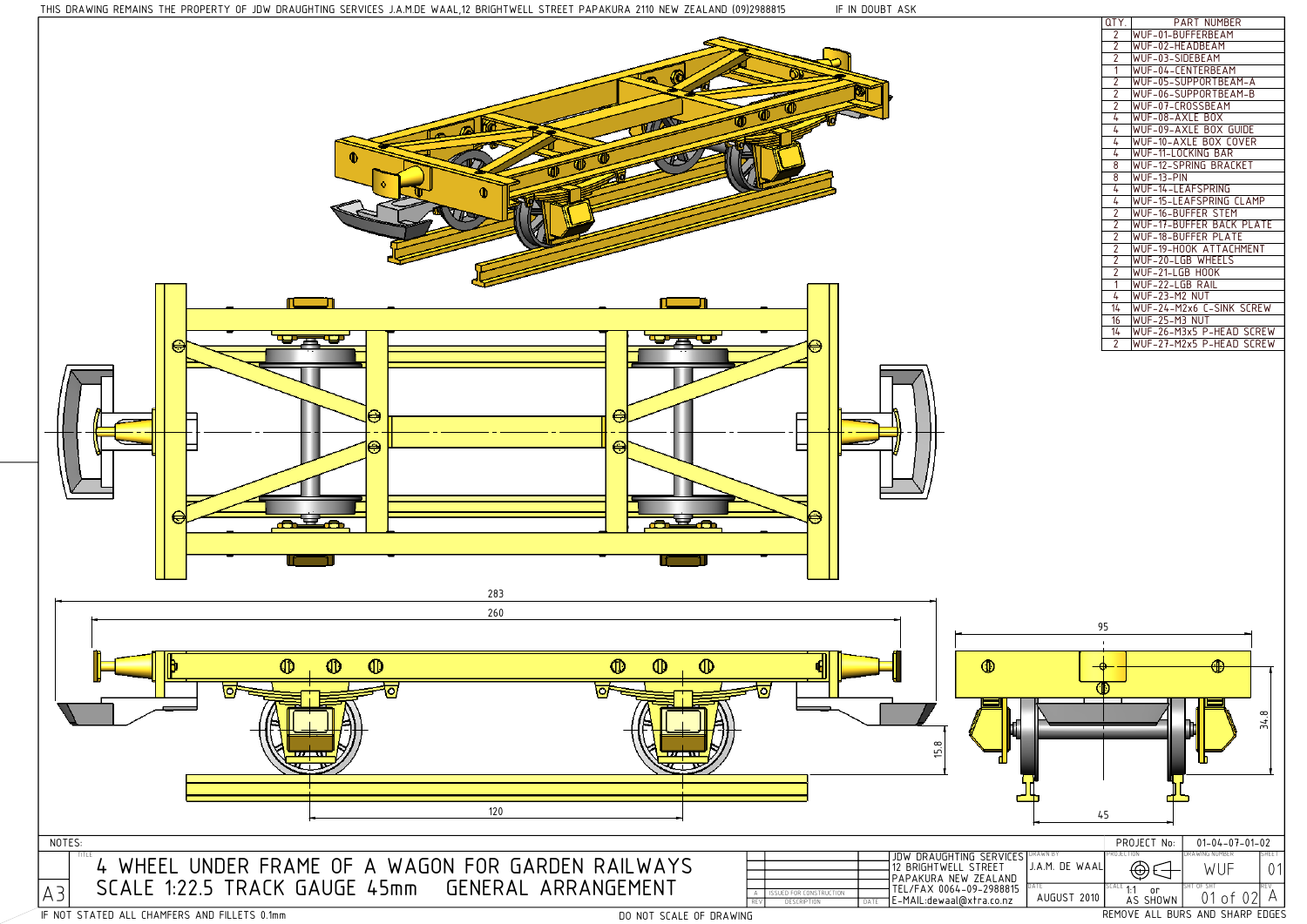| QTY.                                      | PART NUMBER              |
|-------------------------------------------|--------------------------|
| $\overline{2}$                            | WUF-01-BUFFERBEAM        |
| $\overline{2}$                            | WUF-02-HEADBEAM          |
| $\overline{2}$                            | WUF-03-SIDEBEAM          |
| $\overline{1}$                            | WUF-04-CFNTFRBFAM        |
| $\overline{2}$                            | WUF-05-SUPPORTBEAM-A     |
| $\overline{2}$                            | WUF-06-SUPPORTBEAM-B     |
| $\overline{2}$                            | WUF-07-CROSSBEAM         |
| 4                                         | WUF-08-AXLE BOX          |
| 4                                         | WUF-09-AXLE BOX GUIDE    |
| $\overline{4}$                            | WUF-10-AXLE BOX COVER    |
| 4                                         | WUF-11-LOCKING BAR       |
| 8                                         | WUF-12-SPRING BRACKET    |
| 8                                         | WUF-13-PIN               |
| 4                                         | WUF-14-LEAFSPRING        |
| 4                                         | WUF-15-LEAFSPRING CLAMP  |
| $\overline{2}$                            | WUF-16-BUFFFR STFM       |
| $\frac{2}{2}$ $\frac{2}{2}$ $\frac{2}{2}$ | WUF-17-BUFFER BACK PLATE |
|                                           | WUF-18-BUFFER PLATE      |
|                                           | WUF-19-HOOK ATTACHMENT   |
|                                           | WUF-20-LGB WHEELS        |
|                                           | WUF-21-LGB HOOK          |
| $\overline{1}$                            | WUF-22-LGB RAIL          |
| 4                                         | WUF-23-M2 NUT            |
| 14                                        | WUF-24-M2x6 C-SINK SCREW |
| 16                                        | WUF-25-M3 NUT            |
| 14                                        | WUF-26-M3x5 P-HEAD SCREW |
| $\overline{2}$                            | WUF-27-M2x5 P-HEAD SCREW |